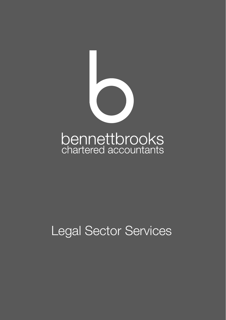

## Legal Sector Services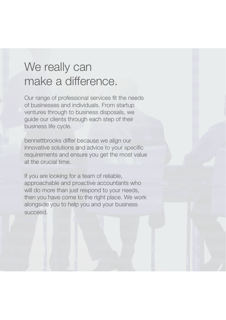## We really can make a difference.

Our range of professional services fit the needs of businesses and individuals. From startup ventures through to business disposals, we guide our clients through each step of their business life cycle.

bennettbrooks differ because we align our innovative solutions and advice to your specific requirements and ensure you get the most value at the crucial time.

If you are looking for a team of reliable, approachable and proactive accountants who will do more than just respond to your needs, then you have come to the right place. We work alongside you to help you and your business succeed.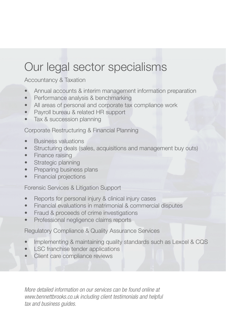## Our legal sector specialisms

Accountancy & Taxation

- Annual accounts & interim management information preparation
- Performance analysis & benchmarking
- All areas of personal and corporate tax compliance work
- Payroll bureau & related HR support
- Tax & succession planning

Corporate Restructuring & Financial Planning

- Business valuations
- Structuring deals (sales, acquisitions and management buy outs)
- Finance raising
- **Strategic planning**
- Preparing business plans
- Financial projections

Forensic Services & Litigation Support

- Reports for personal injury & clinical injury cases
- Financial evaluations in matrimonial & commercial disputes
- Fraud & proceeds of crime investigations
- Professional negligence claims reports

Regulatory Compliance & Quality Assurance Services

- Implementing & maintaining quality standards such as Lexcel & CQS
- **LSC** franchise tender applications
- Client care compliance reviews

*More detailed information on our services can be found online at www.bennettbrooks.co.uk including client testimonials and helpful tax and business guides.*